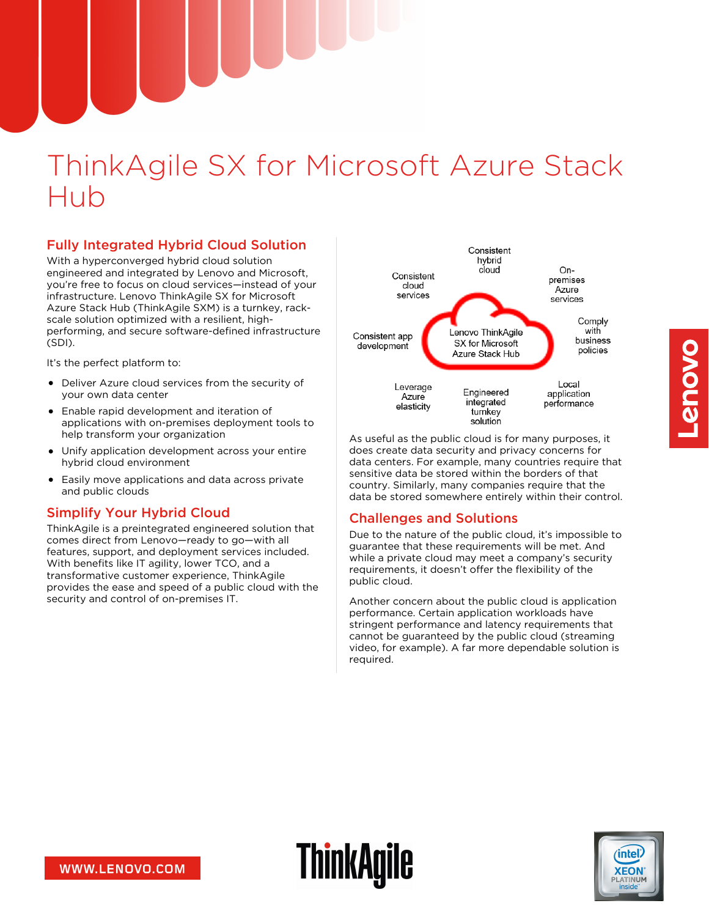# ThinkAgile SX for Microsoft Azure Stack Hub

# Fully Integrated Hybrid Cloud Solution

With a hyperconverged hybrid cloud solution engineered and integrated by Lenovo and Microsoft, you're free to focus on cloud services—instead of your infrastructure. Lenovo ThinkAgile SX for Microsoft Azure Stack Hub (ThinkAgile SXM) is a turnkey, rackscale solution optimized with a resilient, highperforming, and secure software-defined infrastructure (SDI).

It's the perfect platform to:

- Deliver Azure cloud services from the security of your own data center
- Enable rapid development and iteration of applications with on-premises deployment tools to help transform your organization
- Unify application development across your entire hybrid cloud environment
- Easily move applications and data across private and public clouds

# Simplify Your Hybrid Cloud

ThinkAgile is a preintegrated engineered solution that comes direct from Lenovo—ready to go—with all features, support, and deployment services included. With benefits like IT agility, lower TCO, and a transformative customer experience, ThinkAgile provides the ease and speed of a public cloud with the security and control of on-premises IT.



As useful as the public cloud is for many purposes, it does create data security and privacy concerns for data centers. For example, many countries require that sensitive data be stored within the borders of that country. Similarly, many companies require that the data be stored somewhere entirely within their control.

# Challenges and Solutions

Due to the nature of the public cloud, it's impossible to guarantee that these requirements will be met. And while a private cloud may meet a company's security requirements, it doesn't offer the flexibility of the public cloud.

Another concern about the public cloud is application performance. Certain application workloads have stringent performance and latency requirements that cannot be guaranteed by the public cloud (streaming video, for example). A far more dependable solution is required.



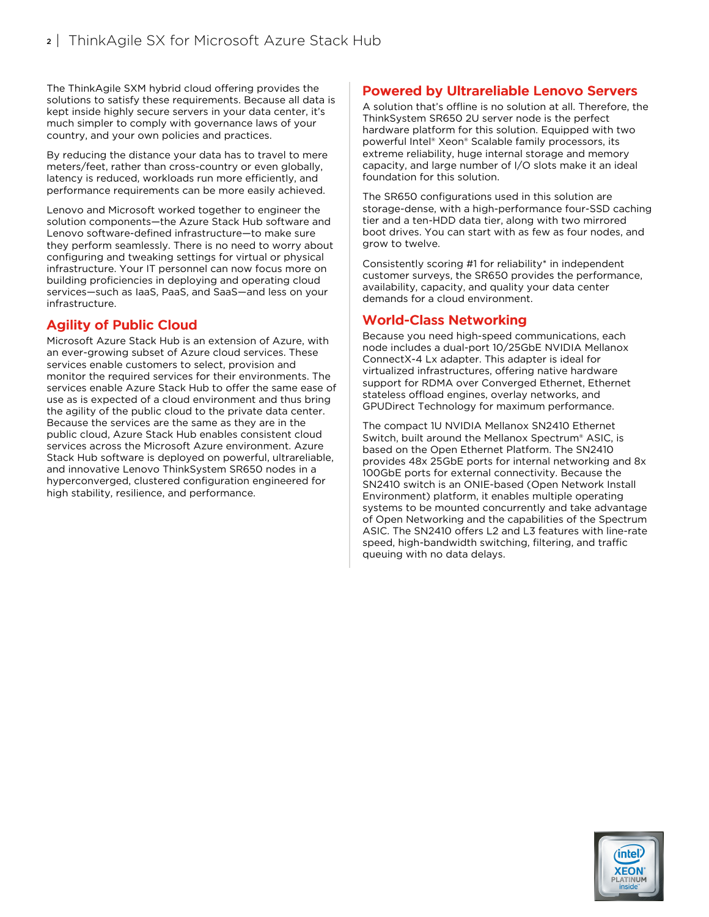The ThinkAgile SXM hybrid cloud offering provides the solutions to satisfy these requirements. Because all data is kept inside highly secure servers in your data center, it's much simpler to comply with governance laws of your country, and your own policies and practices.

By reducing the distance your data has to travel to mere meters/feet, rather than cross-country or even globally, latency is reduced, workloads run more efficiently, and performance requirements can be more easily achieved.

Lenovo and Microsoft worked together to engineer the solution components—the Azure Stack Hub software and Lenovo software-defined infrastructure—to make sure they perform seamlessly. There is no need to worry about configuring and tweaking settings for virtual or physical infrastructure. Your IT personnel can now focus more on building proficiencies in deploying and operating cloud services—such as IaaS, PaaS, and SaaS—and less on your infrastructure.

# Agility of Public Cloud

Microsoft Azure Stack Hub is an extension of Azure, with an ever-growing subset of Azure cloud services. These services enable customers to select, provision and monitor the required services for their environments. The services enable Azure Stack Hub to offer the same ease of use as is expected of a cloud environment and thus bring the agility of the public cloud to the private data center. Because the services are the same as they are in the public cloud, Azure Stack Hub enables consistent cloud services across the Microsoft Azure environment. Azure Stack Hub software is deployed on powerful, ultrareliable, and innovative Lenovo ThinkSystem SR650 nodes in a hyperconverged, clustered configuration engineered for high stability, resilience, and performance.

# Powered by Ultrareliable Lenovo Servers

A solution that's offline is no solution at all. Therefore, the ThinkSystem SR650 2U server node is the perfect hardware platform for this solution. Equipped with two powerful Intel® Xeon® Scalable family processors, its extreme reliability, huge internal storage and memory capacity, and large number of I/O slots make it an ideal foundation for this solution.

The SR650 configurations used in this solution are storage-dense, with a high-performance four-SSD caching tier and a ten-HDD data tier, along with two mirrored boot drives. You can start with as few as four nodes, and grow to twelve.

Consistently scoring #1 for reliability\* in independent customer surveys, the SR650 provides the performance, availability, capacity, and quality your data center demands for a cloud environment.

# World-Class Networking

Because you need high-speed communications, each node includes a dual-port 10/25GbE NVIDIA Mellanox ConnectX-4 Lx adapter. This adapter is ideal for virtualized infrastructures, offering native hardware support for RDMA over Converged Ethernet, Ethernet stateless offload engines, overlay networks, and GPUDirect Technology for maximum performance.

The compact 1U NVIDIA Mellanox SN2410 Ethernet Switch, built around the Mellanox Spectrum® ASIC, is based on the Open Ethernet Platform. The SN2410 provides 48x 25GbE ports for internal networking and 8x 100GbE ports for external connectivity. Because the SN2410 switch is an ONIE-based (Open Network Install Environment) platform, it enables multiple operating systems to be mounted concurrently and take advantage of Open Networking and the capabilities of the Spectrum ASIC. The SN2410 offers L2 and L3 features with line-rate speed, high-bandwidth switching, filtering, and traffic queuing with no data delays.

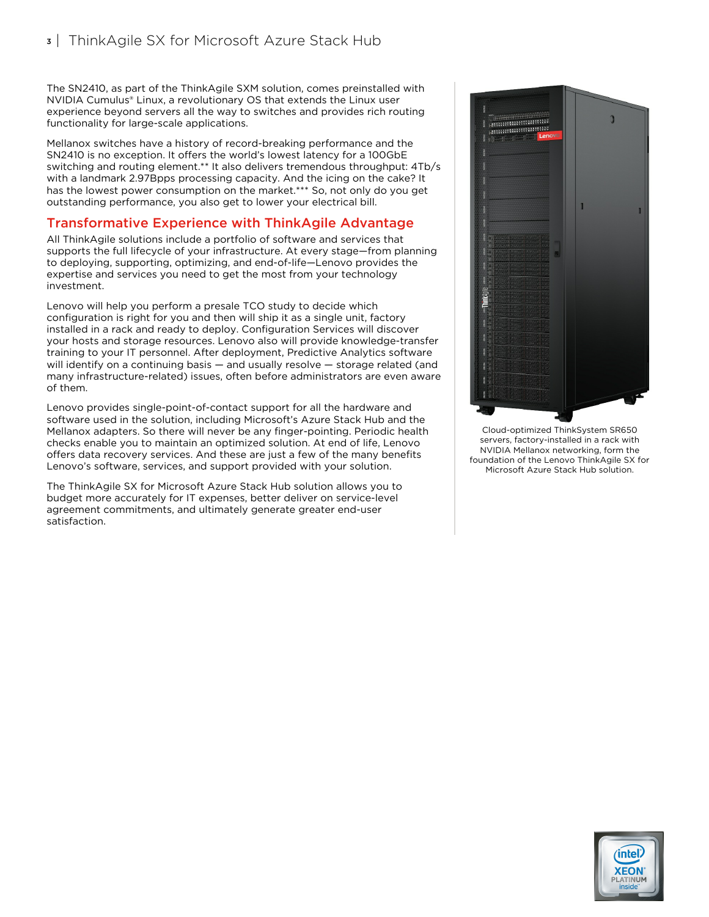The SN2410, as part of the ThinkAgile SXM solution, comes preinstalled with NVIDIA Cumulus® Linux, a revolutionary OS that extends the Linux user experience beyond servers all the way to switches and provides rich routing functionality for large-scale applications.

Mellanox switches have a history of record-breaking performance and the SN2410 is no exception. It offers the world's lowest latency for a 100GbE switching and routing element.\*\* It also delivers tremendous throughput: 4Tb/s with a landmark 2.97Bpps processing capacity. And the icing on the cake? It has the lowest power consumption on the market.\*\*\* So, not only do you get outstanding performance, you also get to lower your electrical bill.

#### Transformative Experience with ThinkAgile Advantage

All ThinkAgile solutions include a portfolio of software and services that supports the full lifecycle of your infrastructure. At every stage—from planning to deploying, supporting, optimizing, and end-of-life—Lenovo provides the expertise and services you need to get the most from your technology investment.

Lenovo will help you perform a presale TCO study to decide which configuration is right for you and then will ship it as a single unit, factory installed in a rack and ready to deploy. Configuration Services will discover your hosts and storage resources. Lenovo also will provide knowledge-transfer training to your IT personnel. After deployment, Predictive Analytics software will identify on a continuing basis — and usually resolve — storage related (and many infrastructure-related) issues, often before administrators are even aware of them.

Lenovo provides single-point-of-contact support for all the hardware and software used in the solution, including Microsoft's Azure Stack Hub and the Mellanox adapters. So there will never be any finger-pointing. Periodic health checks enable you to maintain an optimized solution. At end of life, Lenovo offers data recovery services. And these are just a few of the many benefits Lenovo's software, services, and support provided with your solution.

The ThinkAgile SX for Microsoft Azure Stack Hub solution allows you to budget more accurately for IT expenses, better deliver on service-level agreement commitments, and ultimately generate greater end-user satisfaction.



Cloud-optimized ThinkSystem SR650 servers, factory-installed in a rack with NVIDIA Mellanox networking, form the foundation of the Lenovo ThinkAgile SX for Microsoft Azure Stack Hub solution.

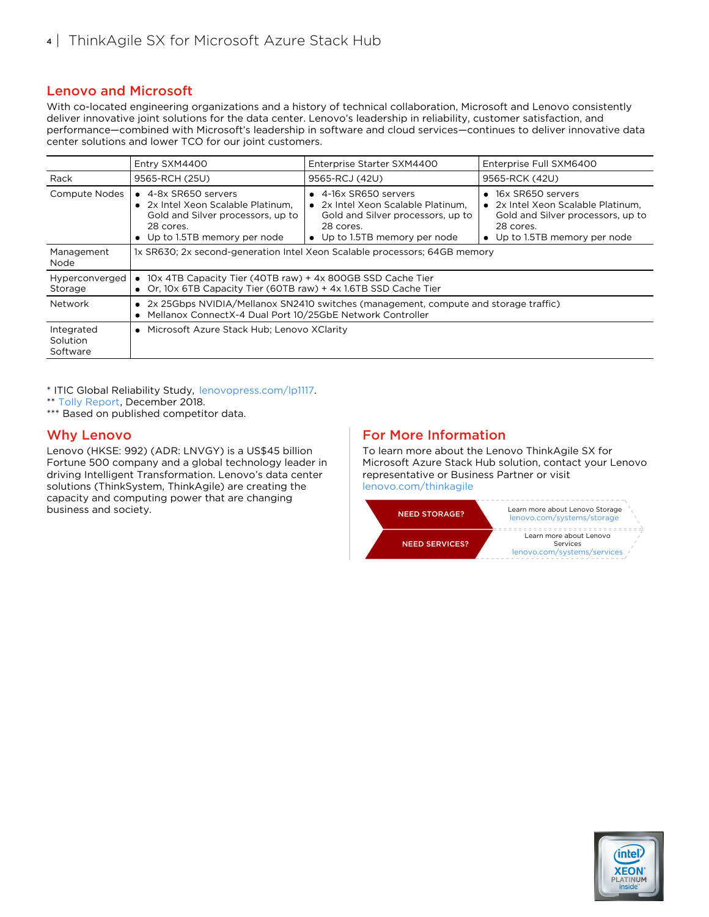# Lenovo and Microsoft

With co-located engineering organizations and a history of technical collaboration, Microsoft and Lenovo consistently deliver innovative joint solutions for the data center. Lenovo's leadership in reliability, customer satisfaction, and performance—combined with Microsoft's leadership in software and cloud services—continues to deliver innovative data center solutions and lower TCO for our joint customers.

|                                    | Entry SXM4400                                                                                                                                         | Enterprise Starter SXM4400                                                                                                                             | Enterprise Full SXM6400                                                                                                                      |
|------------------------------------|-------------------------------------------------------------------------------------------------------------------------------------------------------|--------------------------------------------------------------------------------------------------------------------------------------------------------|----------------------------------------------------------------------------------------------------------------------------------------------|
| Rack                               | 9565-RCH (25U)                                                                                                                                        | 9565-RCJ (42U)                                                                                                                                         | 9565-RCK (42U)                                                                                                                               |
| <b>Compute Nodes</b>               | $\bullet$ 4-8x SR650 servers<br>• 2x Intel Xeon Scalable Platinum.<br>Gold and Silver processors, up to<br>28 cores.<br>• Up to 1.5TB memory per node | $\bullet$ 4-16x SR650 servers<br>• 2x Intel Xeon Scalable Platinum.<br>Gold and Silver processors, up to<br>28 cores.<br>• Up to 1.5TB memory per node | • 16x SR650 servers<br>• 2x Intel Xeon Scalable Platinum.<br>Gold and Silver processors, up to<br>28 cores.<br>• Up to 1.5TB memory per node |
| Management<br>Node                 |                                                                                                                                                       | 1x SR630; 2x second-generation Intel Xeon Scalable processors; 64GB memory                                                                             |                                                                                                                                              |
| Hyperconverged<br>Storage          | • 10x 4TB Capacity Tier (40TB raw) + 4x 800GB SSD Cache Tier<br>• Or, 10x 6TB Capacity Tier (60TB raw) + 4x 1.6TB SSD Cache Tier                      |                                                                                                                                                        |                                                                                                                                              |
| Network                            | • 2x 25Gbps NVIDIA/Mellanox SN2410 switches (management, compute and storage traffic)<br>Mellanox ConnectX-4 Dual Port 10/25GbE Network Controller    |                                                                                                                                                        |                                                                                                                                              |
| Integrated<br>Solution<br>Software | • Microsoft Azure Stack Hub; Lenovo XClarity                                                                                                          |                                                                                                                                                        |                                                                                                                                              |

\* ITIC Global Reliability Study, [lenovopress.com/lp1117](https://lenovopress.com/lp1117).

\*\* Tolly [Report,](http://community.mellanox.com/s/article/tolly-report--mellanox-spectrum-switch-vs--broadcom-tomahawk) December 2018.

\*\*\* Based on published competitor data.

#### Why Lenovo

Lenovo (HKSE: 992) (ADR: LNVGY) is a US\$45 billion Fortune 500 company and a global technology leader in driving Intelligent Transformation. Lenovo's data center solutions (ThinkSystem, ThinkAgile) are creating the capacity and computing power that are changing business and society.

# For More Information

To learn more about the Lenovo ThinkAgile SX for Microsoft Azure Stack Hub solution, contact your Lenovo representative or Business Partner or visit [lenovo.com/thinkagile](http://lenovo.com/thinkagile)